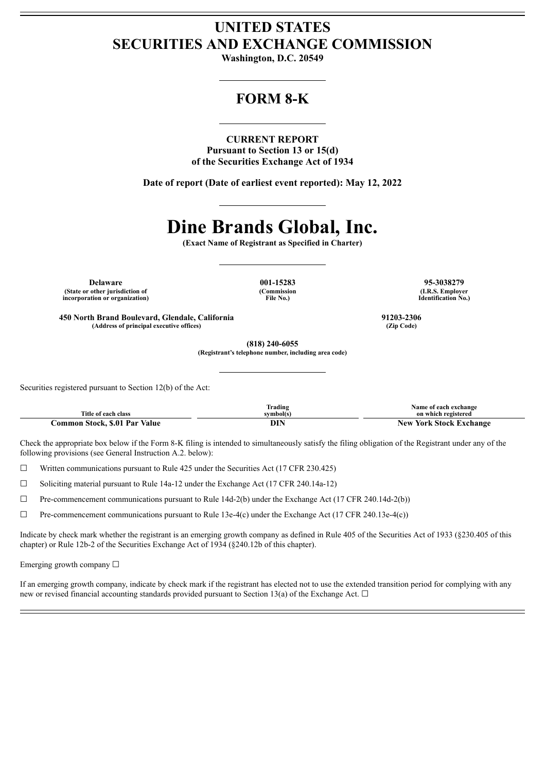## **UNITED STATES SECURITIES AND EXCHANGE COMMISSION**

**Washington, D.C. 20549**

## **FORM 8-K**

**CURRENT REPORT Pursuant to Section 13 or 15(d) of the Securities Exchange Act of 1934**

**Date of report (Date of earliest event reported): May 12, 2022**

# **Dine Brands Global, Inc.**

**(Exact Name of Registrant as Specified in Charter)**

**Delaware 001-15283 95-3038279 (State or other jurisdiction of incorporation or organization)**

**(Commission File No.)**

**(I.R.S. Employer Identification No.)**

**450 North Brand Boulevard, Glendale, California 91203-2306 (Address of principal executive offices) (Zip Code)**

**(818) 240-6055 (Registrant's telephone number, including area code)**

Securities registered pursuant to Section 12(b) of the Act:

| Title of each class           | lrading<br>svmbol(s) | Name of each exchange<br>on which registered |
|-------------------------------|----------------------|----------------------------------------------|
| Common Stock. \$.01 Par Value | DIN                  | <b>New York Stock Exchange</b>               |

Check the appropriate box below if the Form 8-K filing is intended to simultaneously satisfy the filing obligation of the Registrant under any of the following provisions (see General Instruction A.2. below):

 $\Box$  Written communications pursuant to Rule 425 under the Securities Act (17 CFR 230.425)

 $\Box$  Soliciting material pursuant to Rule 14a-12 under the Exchange Act (17 CFR 240.14a-12)

 $\Box$  Pre-commencement communications pursuant to Rule 14d-2(b) under the Exchange Act (17 CFR 240.14d-2(b))

☐ Pre-commencement communications pursuant to Rule 13e-4(c) under the Exchange Act (17 CFR 240.13e-4(c))

Indicate by check mark whether the registrant is an emerging growth company as defined in Rule 405 of the Securities Act of 1933 (§230.405 of this chapter) or Rule 12b-2 of the Securities Exchange Act of 1934 (§240.12b of this chapter).

Emerging growth company  $\Box$ 

If an emerging growth company, indicate by check mark if the registrant has elected not to use the extended transition period for complying with any new or revised financial accounting standards provided pursuant to Section 13(a) of the Exchange Act.  $\Box$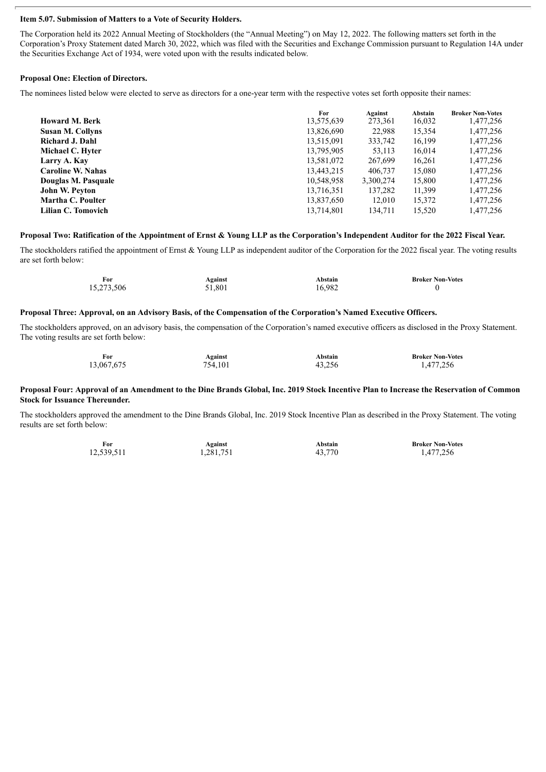#### **Item 5.07. Submission of Matters to a Vote of Security Holders.**

The Corporation held its 2022 Annual Meeting of Stockholders (the "Annual Meeting") on May 12, 2022. The following matters set forth in the Corporation's Proxy Statement dated March 30, 2022, which was filed with the Securities and Exchange Commission pursuant to Regulation 14A under the Securities Exchange Act of 1934, were voted upon with the results indicated below.

#### **Proposal One: Election of Directors.**

The nominees listed below were elected to serve as directors for a one-year term with the respective votes set forth opposite their names:

|                          | For        | Against   | Abstain | <b>Broker Non-Votes</b> |
|--------------------------|------------|-----------|---------|-------------------------|
| <b>Howard M. Berk</b>    | 13,575,639 | 273,361   | 16,032  | 1,477,256               |
| <b>Susan M. Collyns</b>  | 13,826,690 | 22,988    | 15,354  | 1,477,256               |
| Richard J. Dahl          | 13,515,091 | 333,742   | 16,199  | 1,477,256               |
| Michael C. Hyter         | 13,795,905 | 53,113    | 16,014  | 1,477,256               |
| Larry A. Kay             | 13,581,072 | 267,699   | 16,261  | 1,477,256               |
| <b>Caroline W. Nahas</b> | 13,443,215 | 406.737   | 15,080  | 1,477,256               |
| Douglas M. Pasquale      | 10,548,958 | 3,300,274 | 15,800  | 1,477,256               |
| John W. Peyton           | 13,716,351 | 137,282   | 11,399  | 1,477,256               |
| Martha C. Poulter        | 13,837,650 | 12,010    | 15,372  | 1,477,256               |
| Lilian C. Tomovich       | 13,714,801 | 134,711   | 15,520  | 1,477,256               |

#### Proposal Two: Ratification of the Appointment of Ernst & Young LLP as the Corporation's Independent Auditor for the 2022 Fiscal Year.

The stockholders ratified the appointment of Ernst & Young LLP as independent auditor of the Corporation for the 2022 fiscal year. The voting results are set forth below:

| For        | Against | Abstain | <b>Broker Non-Votes</b> |
|------------|---------|---------|-------------------------|
| 15,273,506 | 51,801  | 16,982  |                         |

#### Proposal Three: Approval, on an Advisory Basis, of the Compensation of the Corporation's Named Executive Officers.

The stockholders approved, on an advisory basis, the compensation of the Corporation's named executive officers as disclosed in the Proxy Statement. The voting results are set forth below:

| For        | <b>Against</b> | Abstain | <b>Broker Non-Votes</b> |
|------------|----------------|---------|-------------------------|
| 13,067,675 | 754,101        | 43,256  | 1,477,256               |

#### Proposal Four: Approval of an Amendment to the Dine Brands Global, Inc. 2019 Stock Incentive Plan to Increase the Reservation of Common **Stock for Issuance Thereunder.**

The stockholders approved the amendment to the Dine Brands Global, Inc. 2019 Stock Incentive Plan as described in the Proxy Statement. The voting results are set forth below:

| For        | Against   | Abstain | <b>Broker Non-Votes</b> |
|------------|-----------|---------|-------------------------|
| 12,539,511 | 1,281,751 | 43,770  | 1,477,256               |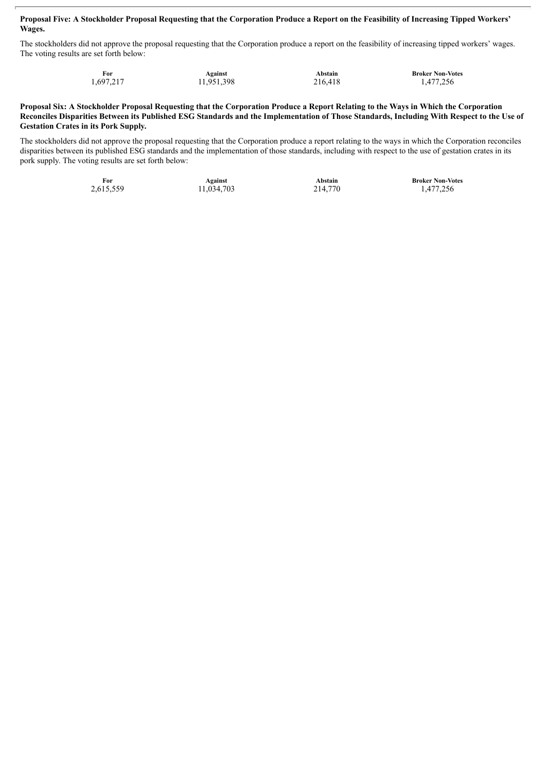#### Proposal Five: A Stockholder Proposal Requesting that the Corporation Produce a Report on the Feasibility of Increasing Tipped Workers' **Wages.**

The stockholders did not approve the proposal requesting that the Corporation produce a report on the feasibility of increasing tipped workers' wages. The voting results are set forth below:

| For       | Against    | Abstain | <b>Broker Non-Votes</b> |
|-----------|------------|---------|-------------------------|
| 1,697,217 | 11,951,398 | 216,418 | 1,477,256               |

#### Proposal Six: A Stockholder Proposal Requesting that the Corporation Produce a Report Relating to the Ways in Which the Corporation Reconciles Disparities Between its Published ESG Standards and the Implementation of Those Standards, Including With Respect to the Use of **Gestation Crates in its Pork Supply.**

The stockholders did not approve the proposal requesting that the Corporation produce a report relating to the ways in which the Corporation reconciles disparities between its published ESG standards and the implementation of those standards, including with respect to the use of gestation crates in its pork supply. The voting results are set forth below:

**For Against Against Abstain Broker Non-Votes**<br>2,615,559 11,034,703 214,770 1,477,256

11,034,703